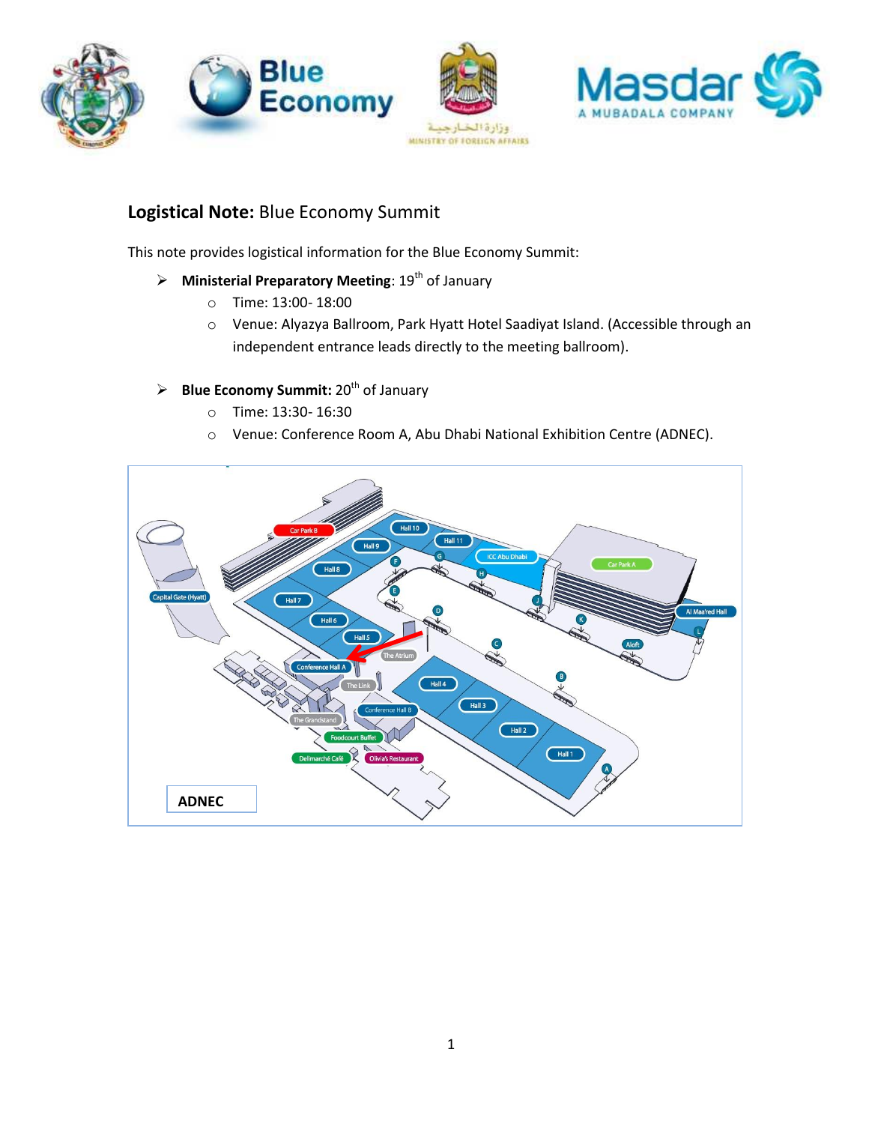

# **Logistical Note:** Blue Economy Summit

This note provides logistical information for the Blue Economy Summit:

- **EXECUTE: Ministerial Preparatory Meeting: 19th of January** 
	- o Time: 13:00- 18:00
	- o Venue: Alyazya Ballroom, Park Hyatt Hotel Saadiyat Island. (Accessible through an independent entrance leads directly to the meeting ballroom).

## $\triangleright$  **Blue Economy Summit:** 20<sup>th</sup> of January

- o Time: 13:30- 16:30
- o Venue: Conference Room A, Abu Dhabi National Exhibition Centre (ADNEC).

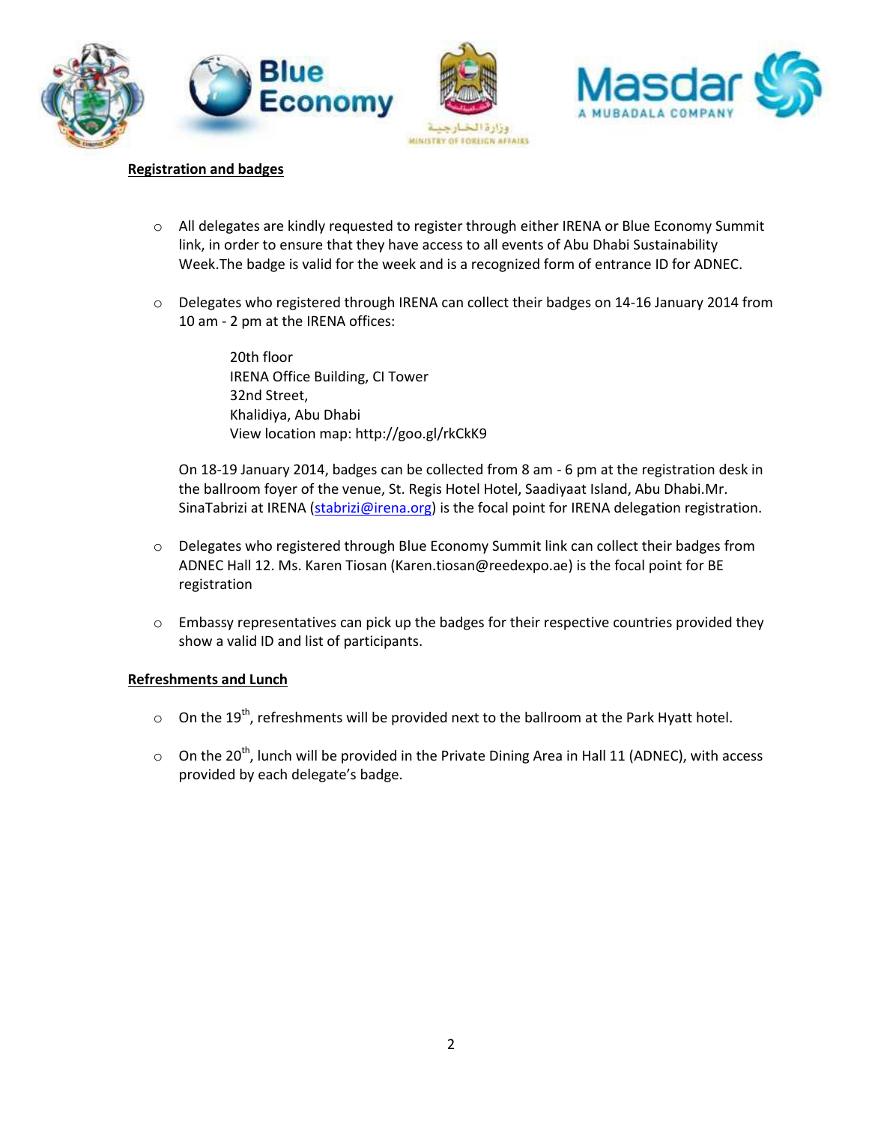



#### **Registration and badges**

- o All delegates are kindly requested to register through either IRENA or Blue Economy Summit link, in order to ensure that they have access to all events of Abu Dhabi Sustainability Week.The badge is valid for the week and is a recognized form of entrance ID for ADNEC.
- o Delegates who registered through IRENA can collect their badges on 14-16 January 2014 from 10 am - 2 pm at the IRENA offices:

20th floor IRENA Office Building, CI Tower 32nd Street, Khalidiya, Abu Dhabi View location map: http://goo.gl/rkCkK9

On 18-19 January 2014, badges can be collected from 8 am - 6 pm at the registration desk in the ballroom foyer of the venue, St. Regis Hotel Hotel, Saadiyaat Island, Abu Dhabi.Mr. SinaTabrizi at IRENA [\(stabrizi@irena.org\)](mailto:stabrizi@irena.org) is the focal point for IRENA delegation registration.

- o Delegates who registered through Blue Economy Summit link can collect their badges from ADNEC Hall 12. Ms. Karen Tiosan [\(Karen.tiosan@reedexpo.ae\)](mailto:Karen.tiosan@reedexpo.ae) is the focal point for BE registration
- $\circ$  Embassy representatives can pick up the badges for their respective countries provided they show a valid ID and list of participants.

### **Refreshments and Lunch**

- $\circ$  On the 19<sup>th</sup>, refreshments will be provided next to the ballroom at the Park Hyatt hotel.
- $\circ$  On the 20<sup>th</sup>, lunch will be provided in the Private Dining Area in Hall 11 (ADNEC), with access provided by each delegate's badge.